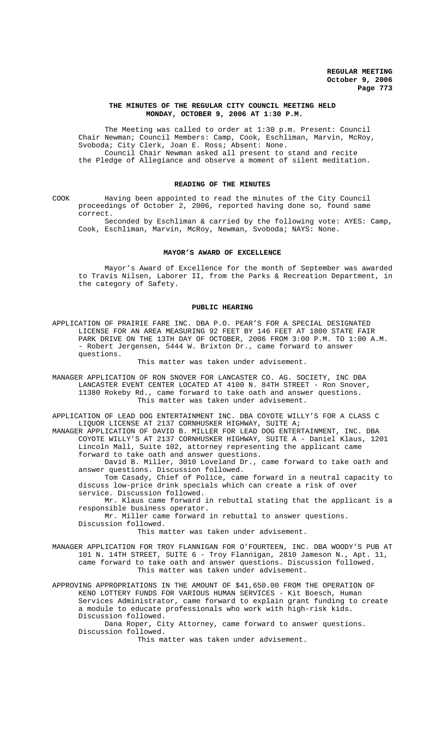### **THE MINUTES OF THE REGULAR CITY COUNCIL MEETING HELD MONDAY, OCTOBER 9, 2006 AT 1:30 P.M.**

The Meeting was called to order at 1:30 p.m. Present: Council Chair Newman; Council Members: Camp, Cook, Eschliman, Marvin, McRoy, Svoboda; City Clerk, Joan E. Ross; Absent: None. Council Chair Newman asked all present to stand and recite the Pledge of Allegiance and observe a moment of silent meditation.

## **READING OF THE MINUTES**

COOK Having been appointed to read the minutes of the City Council proceedings of October 2, 2006, reported having done so, found same correct.

Seconded by Eschliman & carried by the following vote: AYES: Camp, Cook, Eschliman, Marvin, McRoy, Newman, Svoboda; NAYS: None.

#### **MAYOR'S AWARD OF EXCELLENCE**

Mayor's Award of Excellence for the month of September was awarded to Travis Nilsen, Laborer II, from the Parks & Recreation Department, in the category of Safety.

## **PUBLIC HEARING**

APPLICATION OF PRAIRIE FARE INC. DBA P.O. PEAR'S FOR A SPECIAL DESIGNATED LICENSE FOR AN AREA MEASURING 92 FEET BY 146 FEET AT 1800 STATE FAIR PARK DRIVE ON THE 13TH DAY OF OCTOBER, 2006 FROM 3:00 P.M. TO 1:00 A.M. - Robert Jergensen, 5444 W. Brixton Dr., came forward to answer questions.

This matter was taken under advisement.

MANAGER APPLICATION OF RON SNOVER FOR LANCASTER CO. AG. SOCIETY, INC DBA LANCASTER EVENT CENTER LOCATED AT 4100 N. 84TH STREET - Ron Snover, 11380 Rokeby Rd., came forward to take oath and answer questions. This matter was taken under advisement.

APPLICATION OF LEAD DOG ENTERTAINMENT INC. DBA COYOTE WILLY'S FOR A CLASS C LIQUOR LICENSE AT 2137 CORNHUSKER HIGHWAY, SUITE A; MANAGER APPLICATION OF DAVID B. MILLER FOR LEAD DOG ENTERTAINMENT, INC. DBA

COYOTE WILLY'S AT 2137 CORNHUSKER HIGHWAY, SUITE A - Daniel Klaus, 1201 Lincoln Mall, Suite 102, attorney representing the applicant came forward to take oath and answer questions.

David B. Miller, 3010 Loveland Dr., came forward to take oath and answer questions. Discussion followed.

Tom Casady, Chief of Police, came forward in a neutral capacity to discuss low-price drink specials which can create a risk of over service. Discussion followed.

Mr. Klaus came forward in rebuttal stating that the applicant is a responsible business operator.

Mr. Miller came forward in rebuttal to answer questions.

Discussion followed.

This matter was taken under advisement.

MANAGER APPLICATION FOR TROY FLANNIGAN FOR O'FOURTEEN, INC. DBA WOODY'S PUB AT 101 N. 14TH STREET, SUITE 6 - Troy Flannigan, 2810 Jameson N., Apt. 11, came forward to take oath and answer questions. Discussion followed. This matter was taken under advisement.

APPROVING APPROPRIATIONS IN THE AMOUNT OF \$41,650.00 FROM THE OPERATION OF KENO LOTTERY FUNDS FOR VARIOUS HUMAN SERVICES - Kit Boesch, Human Services Administrator, came forward to explain grant funding to create a module to educate professionals who work with high-risk kids. Discussion followed.

Dana Roper, City Attorney, came forward to answer questions. Discussion followed.

This matter was taken under advisement.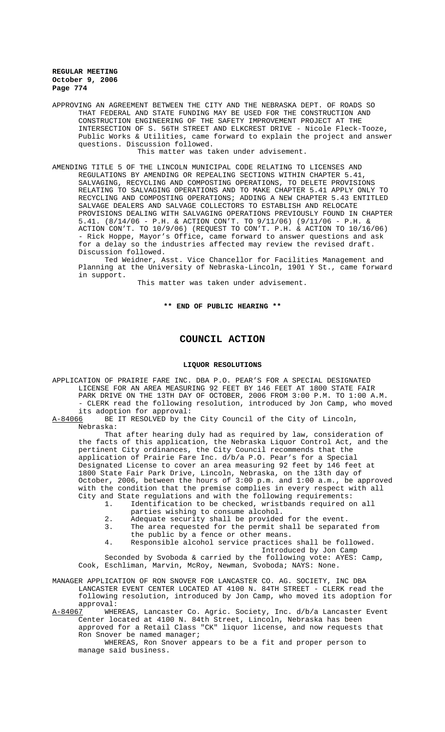APPROVING AN AGREEMENT BETWEEN THE CITY AND THE NEBRASKA DEPT. OF ROADS SO THAT FEDERAL AND STATE FUNDING MAY BE USED FOR THE CONSTRUCTION AND CONSTRUCTION ENGINEERING OF THE SAFETY IMPROVEMENT PROJECT AT THE INTERSECTION OF S. 56TH STREET AND ELKCREST DRIVE - Nicole Fleck-Tooze, Public Works & Utilities, came forward to explain the project and answer questions. Discussion followed.

This matter was taken under advisement.

AMENDING TITLE 5 OF THE LINCOLN MUNICIPAL CODE RELATING TO LICENSES AND REGULATIONS BY AMENDING OR REPEALING SECTIONS WITHIN CHAPTER 5.41, SALVAGING, RECYCLING AND COMPOSTING OPERATIONS, TO DELETE PROVISIONS RELATING TO SALVAGING OPERATIONS AND TO MAKE CHAPTER 5.41 APPLY ONLY TO RECYCLING AND COMPOSTING OPERATIONS; ADDING A NEW CHAPTER 5.43 ENTITLED SALVAGE DEALERS AND SALVAGE COLLECTORS TO ESTABLISH AND RELOCATE PROVISIONS DEALING WITH SALVAGING OPERATIONS PREVIOUSLY FOUND IN CHAPTER 5.41. (8/14/06 - P.H. & ACTION CON'T. TO 9/11/06) (9/11/06 - P.H. & ACTION CON'T. TO 10/9/06) (REQUEST TO CON'T. P.H. & ACTION TO 10/16/06) - Rick Hoppe, Mayor's Office, came forward to answer questions and ask for a delay so the industries affected may review the revised draft. Discussion followed.

Ted Weidner, Asst. Vice Chancellor for Facilities Management and Planning at the University of Nebraska-Lincoln, 1901 Y St., came forward in support.

This matter was taken under advisement.

### **\*\* END OF PUBLIC HEARING \*\***

# **COUNCIL ACTION**

### **LIQUOR RESOLUTIONS**

APPLICATION OF PRAIRIE FARE INC. DBA P.O. PEAR'S FOR A SPECIAL DESIGNATED LICENSE FOR AN AREA MEASURING 92 FEET BY 146 FEET AT 1800 STATE FAIR PARK DRIVE ON THE 13TH DAY OF OCTOBER, 2006 FROM 3:00 P.M. TO 1:00 A.M. - CLERK read the following resolution, introduced by Jon Camp, who moved its adoption for approval:

A-84066 BE IT RESOLVED by the City Council of the City of Lincoln, Nebraska:

That after hearing duly had as required by law, consideration of the facts of this application, the Nebraska Liquor Control Act, and the pertinent City ordinances, the City Council recommends that the application of Prairie Fare Inc. d/b/a P.O. Pear's for a Special Designated License to cover an area measuring 92 feet by 146 feet at 1800 State Fair Park Drive, Lincoln, Nebraska, on the 13th day of October, 2006, between the hours of 3:00 p.m. and 1:00 a.m., be approved with the condition that the premise complies in every respect with all City and State regulations and with the following requirements:

- 1. Identification to be checked, wristbands required on all parties wishing to consume alcohol.
- 2. Adequate security shall be provided for the event.<br>3. The area requested for the permit shall be separat
- The area requested for the permit shall be separated from the public by a fence or other means.
- 4. Responsible alcohol service practices shall be followed. Introduced by Jon Camp

Seconded by Svoboda & carried by the following vote: AYES: Camp, Cook, Eschliman, Marvin, McRoy, Newman, Svoboda; NAYS: None.

MANAGER APPLICATION OF RON SNOVER FOR LANCASTER CO. AG. SOCIETY, INC DBA LANCASTER EVENT CENTER LOCATED AT 4100 N. 84TH STREET - CLERK read the following resolution, introduced by Jon Camp, who moved its adoption for approval:

A-84067 WHEREAS, Lancaster Co. Agric. Society, Inc. d/b/a Lancaster Event Center located at 4100 N. 84th Street, Lincoln, Nebraska has been approved for a Retail Class "CK" liquor license, and now requests that Ron Snover be named manager;

WHEREAS, Ron Snover appears to be a fit and proper person to manage said business.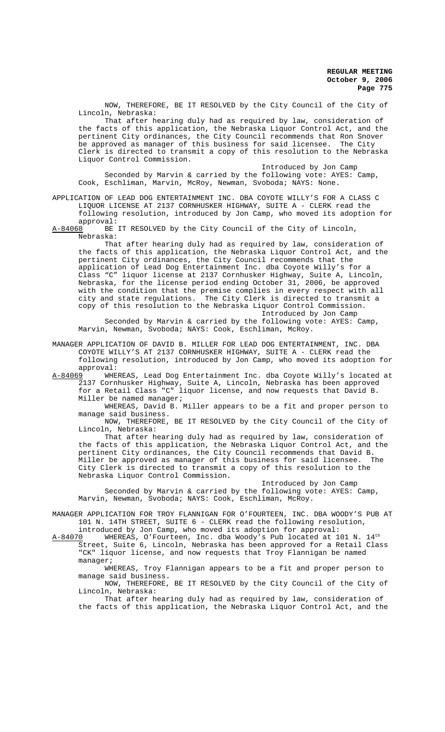NOW, THEREFORE, BE IT RESOLVED by the City Council of the City of Lincoln, Nebraska:

That after hearing duly had as required by law, consideration of the facts of this application, the Nebraska Liquor Control Act, and the pertinent City ordinances, the City Council recommends that Ron Snover<br>be approved as manager of this business for said licensee. The City be approved as manager of this business for said licensee. Clerk is directed to transmit a copy of this resolution to the Nebraska Liquor Control Commission.

Introduced by Jon Camp

Seconded by Marvin & carried by the following vote: AYES: Camp, Cook, Eschliman, Marvin, McRoy, Newman, Svoboda; NAYS: None.

## APPLICATION OF LEAD DOG ENTERTAINMENT INC. DBA COYOTE WILLY'S FOR A CLASS C LIQUOR LICENSE AT 2137 CORNHUSKER HIGHWAY, SUITE A - CLERK read the following resolution, introduced by Jon Camp, who moved its adoption for approval:

A-84068 BE IT RESOLVED by the City Council of the City of Lincoln, Nebraska:

That after hearing duly had as required by law, consideration of the facts of this application, the Nebraska Liquor Control Act, and the pertinent City ordinances, the City Council recommends that the application of Lead Dog Entertainment Inc. dba Coyote Willy's for a Class "C" liquor license at 2137 Cornhusker Highway, Suite A, Lincoln, Nebraska, for the license period ending October 31, 2006, be approved with the condition that the premise complies in every respect with all city and state regulations. The City Clerk is directed to transmit a copy of this resolution to the Nebraska Liquor Control Commission. Introduced by Jon Camp

Seconded by Marvin & carried by the following vote: AYES: Camp, Marvin, Newman, Svoboda; NAYS: Cook, Eschliman, McRoy.

MANAGER APPLICATION OF DAVID B. MILLER FOR LEAD DOG ENTERTAINMENT, INC. DBA COYOTE WILLY'S AT 2137 CORNHUSKER HIGHWAY, SUITE A - CLERK read the following resolution, introduced by Jon Camp, who moved its adoption for approval:

A-84069 WHEREAS, Lead Dog Entertainment Inc. dba Coyote Willy's located at 2137 Cornhusker Highway, Suite A, Lincoln, Nebraska has been approved for a Retail Class "C" liquor license, and now requests that David B. Miller be named manager;

WHEREAS, David B. Miller appears to be a fit and proper person to manage said business.

NOW, THEREFORE, BE IT RESOLVED by the City Council of the City of Lincoln, Nebraska:

That after hearing duly had as required by law, consideration of the facts of this application, the Nebraska Liquor Control Act, and the pertinent City ordinances, the City Council recommends that David B. Miller be approved as manager of this business for said licensee. The City Clerk is directed to transmit a copy of this resolution to the Nebraska Liquor Control Commission.

Introduced by Jon Camp Seconded by Marvin & carried by the following vote: AYES: Camp, Marvin, Newman, Svoboda; NAYS: Cook, Eschliman, McRoy.

MANAGER APPLICATION FOR TROY FLANNIGAN FOR O'FOURTEEN, INC. DBA WOODY'S PUB AT 101 N. 14TH STREET, SUITE 6 - CLERK read the following resolution,

introduced by Jon Camp, who moved its adoption for approval:<br>A-84070 WHEREAS, O'Fourteen, Inc. dba Woody's Pub located at 1 WHEREAS, O'Fourteen, Inc. dba Woody's Pub located at 101 N.  $14<sup>th</sup>$ Street, Suite 6, Lincoln, Nebraska has been approved for a Retail Class "CK" liquor license, and now requests that Troy Flannigan be named manager;

WHEREAS, Troy Flannigan appears to be a fit and proper person to manage said business.

NOW, THEREFORE, BE IT RESOLVED by the City Council of the City of Lincoln, Nebraska:

That after hearing duly had as required by law, consideration of the facts of this application, the Nebraska Liquor Control Act, and the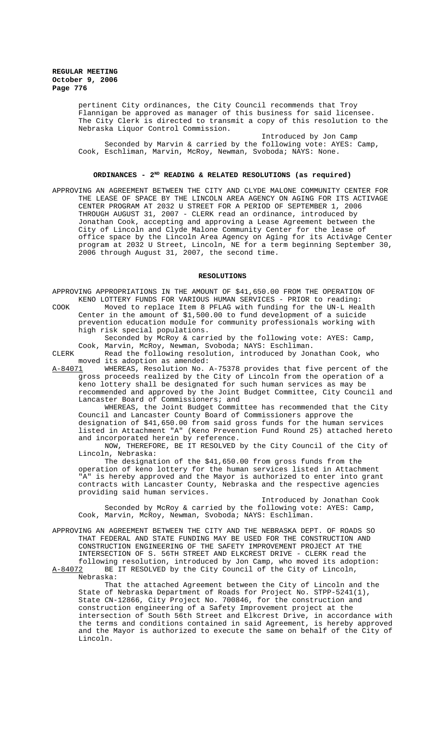pertinent City ordinances, the City Council recommends that Troy Flannigan be approved as manager of this business for said licensee. The City Clerk is directed to transmit a copy of this resolution to the Nebraska Liquor Control Commission.

Introduced by Jon Camp Seconded by Marvin & carried by the following vote: AYES: Camp, Cook, Eschliman, Marvin, McRoy, Newman, Svoboda; NAYS: None.

### ORDINANCES - 2<sup>ND</sup> READING & RELATED RESOLUTIONS (as required)

APPROVING AN AGREEMENT BETWEEN THE CITY AND CLYDE MALONE COMMUNITY CENTER FOR THE LEASE OF SPACE BY THE LINCOLN AREA AGENCY ON AGING FOR ITS ACTIVAGE CENTER PROGRAM AT 2032 U STREET FOR A PERIOD OF SEPTEMBER 1, 2006 THROUGH AUGUST 31, 2007 - CLERK read an ordinance, introduced by Jonathan Cook, accepting and approving a Lease Agreement between the City of Lincoln and Clyde Malone Community Center for the lease of office space by the Lincoln Area Agency on Aging for its ActivAge Center program at 2032 U Street, Lincoln, NE for a term beginning September 30, 2006 through August 31, 2007, the second time.

## **RESOLUTIONS**

APPROVING APPROPRIATIONS IN THE AMOUNT OF \$41,650.00 FROM THE OPERATION OF KENO LOTTERY FUNDS FOR VARIOUS HUMAN SERVICES - PRIOR to reading:

COOK Moved to replace Item 8 PFLAG with funding for the UN-L Health Center in the amount of \$1,500.00 to fund development of a suicide prevention education module for community professionals working with high risk special populations.

Seconded by McRoy & carried by the following vote: AYES: Camp, Cook, Marvin, McRoy, Newman, Svoboda; NAYS: Eschliman.

CLERK Read the following resolution, introduced by Jonathan Cook, who moved its adoption as amended:

A-84071 WHEREAS, Resolution No. A-75378 provides that five percent of the gross proceeds realized by the City of Lincoln from the operation of a keno lottery shall be designated for such human services as may be recommended and approved by the Joint Budget Committee, City Council and Lancaster Board of Commissioners; and

WHEREAS, the Joint Budget Committee has recommended that the City Council and Lancaster County Board of Commissioners approve the designation of \$41,650.00 from said gross funds for the human services listed in Attachment "A" (Keno Prevention Fund Round 25) attached hereto and incorporated herein by reference.

NOW, THEREFORE, BE IT RESOLVED by the City Council of the City of Lincoln, Nebraska:

The designation of the \$41,650.00 from gross funds from the operation of keno lottery for the human services listed in Attachment "A" is hereby approved and the Mayor is authorized to enter into grant contracts with Lancaster County, Nebraska and the respective agencies providing said human services.

Introduced by Jonathan Cook Seconded by McRoy & carried by the following vote: AYES: Camp, Cook, Marvin, McRoy, Newman, Svoboda; NAYS: Eschliman.

APPROVING AN AGREEMENT BETWEEN THE CITY AND THE NEBRASKA DEPT. OF ROADS SO THAT FEDERAL AND STATE FUNDING MAY BE USED FOR THE CONSTRUCTION AND CONSTRUCTION ENGINEERING OF THE SAFETY IMPROVEMENT PROJECT AT THE INTERSECTION OF S. 56TH STREET AND ELKCREST DRIVE - CLERK read the following resolution, introduced by Jon Camp, who moved its adoption: A-84072 BE IT RESOLVED by the City Council of the City of Lincoln,

Nebraska:

That the attached Agreement between the City of Lincoln and the State of Nebraska Department of Roads for Project No. STPP-5241(1), State CN-12866, City Project No. 700846, for the construction and construction engineering of a Safety Improvement project at the intersection of South 56th Street and Elkcrest Drive, in accordance with the terms and conditions contained in said Agreement, is hereby approved and the Mayor is authorized to execute the same on behalf of the City of Lincoln.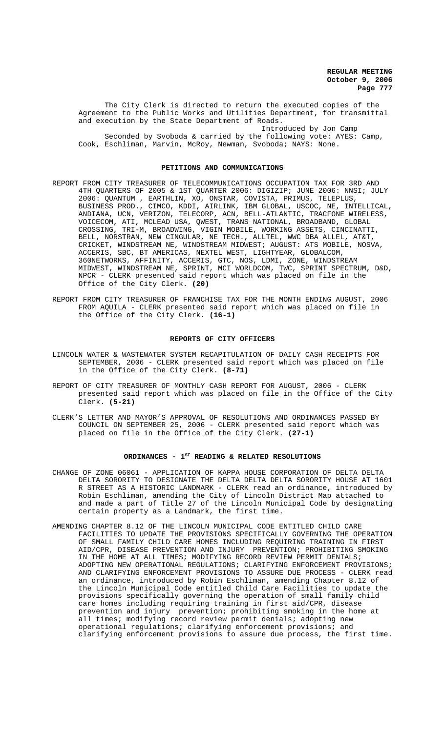The City Clerk is directed to return the executed copies of the Agreement to the Public Works and Utilities Department, for transmittal and execution by the State Department of Roads.

Introduced by Jon Camp Seconded by Svoboda & carried by the following vote: AYES: Camp, Cook, Eschliman, Marvin, McRoy, Newman, Svoboda; NAYS: None.

#### **PETITIONS AND COMMUNICATIONS**

- REPORT FROM CITY TREASURER OF TELECOMMUNICATIONS OCCUPATION TAX FOR 3RD AND 4TH QUARTERS OF 2005 & 1ST QUARTER 2006: DIGIZIP; JUNE 2006: NNSI; JULY 2006: QUANTUM , EARTHLIN, XO, ONSTAR, COVISTA, PRIMUS, TELEPLUS, BUSINESS PROD., CIMCO, KDDI, AIRLINK, IBM GLOBAL, USCOC, NE, INTELLICAL, ANDIANA, UCN, VERIZON, TELECORP, ACN, BELL-ATLANTIC, TRACFONE WIRELESS, VOICECOM, ATI, MCLEAD USA, QWEST, TRANS NATIONAL, BROADBAND, GLOBAL CROSSING, TRI-M, BROADWING, VIGIN MOBILE, WORKING ASSETS, CINCINATTI, BELL, NORSTRAN, NEW CINGULAR, NE TECH., ALLTEL, WWC DBA ALLEL, AT&T, CRICKET, WINDSTREAM NE, WINDSTREAM MIDWEST; AUGUST: ATS MOBILE, NOSVA, ACCERIS, SBC, BT AMERICAS, NEXTEL WEST, LIGHTYEAR, GLOBALCOM, 360NETWORKS, AFFINITY, ACCERIS, GTC, NOS, LDMI, ZONE, WINDSTREAM MIDWEST, WINDSTREAM NE, SPRINT, MCI WORLDCOM, TWC, SPRINT SPECTRUM, D&D, NPCR - CLERK presented said report which was placed on file in the Office of the City Clerk. **(20)**
- REPORT FROM CITY TREASURER OF FRANCHISE TAX FOR THE MONTH ENDING AUGUST, 2006 FROM AQUILA - CLERK presented said report which was placed on file in the Office of the City Clerk. **(16-1)**

#### **REPORTS OF CITY OFFICERS**

- LINCOLN WATER & WASTEWATER SYSTEM RECAPITULATION OF DAILY CASH RECEIPTS FOR SEPTEMBER, 2006 - CLERK presented said report which was placed on file in the Office of the City Clerk. **(8-71)**
- REPORT OF CITY TREASURER OF MONTHLY CASH REPORT FOR AUGUST, 2006 CLERK presented said report which was placed on file in the Office of the City Clerk. **(5-21)**
- CLERK'S LETTER AND MAYOR'S APPROVAL OF RESOLUTIONS AND ORDINANCES PASSED BY COUNCIL ON SEPTEMBER 25, 2006 - CLERK presented said report which was placed on file in the Office of the City Clerk. **(27-1)**

### ORDINANCES - 1<sup>st</sup> READING & RELATED RESOLUTIONS

- CHANGE OF ZONE 06061 APPLICATION OF KAPPA HOUSE CORPORATION OF DELTA DELTA DELTA SORORITY TO DESIGNATE THE DELTA DELTA DELTA SORORITY HOUSE AT 1601 R STREET AS A HISTORIC LANDMARK - CLERK read an ordinance, introduced by Robin Eschliman, amending the City of Lincoln District Map attached to and made a part of Title 27 of the Lincoln Municipal Code by designating certain property as a Landmark, the first time.
- AMENDING CHAPTER 8.12 OF THE LINCOLN MUNICIPAL CODE ENTITLED CHILD CARE FACILITIES TO UPDATE THE PROVISIONS SPECIFICALLY GOVERNING THE OPERATION OF SMALL FAMILY CHILD CARE HOMES INCLUDING REQUIRING TRAINING IN FIRST AID/CPR, DISEASE PREVENTION AND INJURY PREVENTION; PROHIBITING SMOKING IN THE HOME AT ALL TIMES; MODIFYING RECORD REVIEW PERMIT DENIALS; ADOPTING NEW OPERATIONAL REGULATIONS; CLARIFYING ENFORCEMENT PROVISIONS; AND CLARIFYING ENFORCEMENT PROVISIONS TO ASSURE DUE PROCESS - CLERK read an ordinance, introduced by Robin Eschliman, amending Chapter 8.12 of the Lincoln Municipal Code entitled Child Care Facilities to update the provisions specifically governing the operation of small family child care homes including requiring training in first aid/CPR, disease prevention and injury prevention; prohibiting smoking in the home at all times; modifying record review permit denials; adopting new operational regulations; clarifying enforcement provisions; and clarifying enforcement provisions to assure due process, the first time.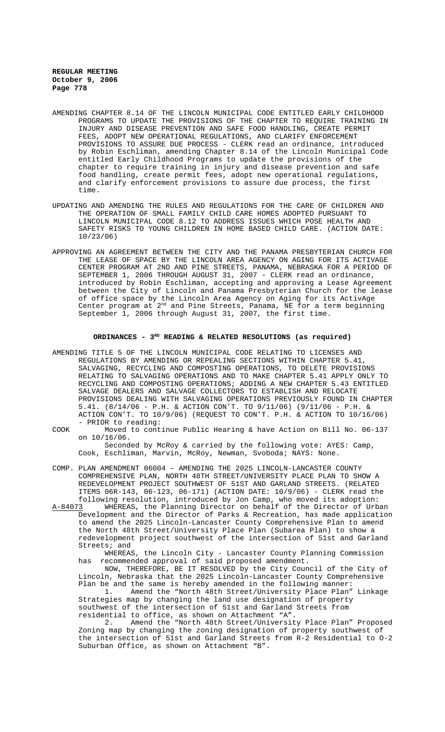- AMENDING CHAPTER 8.14 OF THE LINCOLN MUNICIPAL CODE ENTITLED EARLY CHILDHOOD PROGRAMS TO UPDATE THE PROVISIONS OF THE CHAPTER TO REQUIRE TRAINING IN INJURY AND DISEASE PREVENTION AND SAFE FOOD HANDLING, CREATE PERMIT FEES, ADOPT NEW OPERATIONAL REGULATIONS, AND CLARIFY ENFORCEMENT PROVISIONS TO ASSURE DUE PROCESS - CLERK read an ordinance, introduced by Robin Eschliman, amending Chapter 8.14 of the Lincoln Municipal Code entitled Early Childhood Programs to update the provisions of the chapter to require training in injury and disease prevention and safe food handling, create permit fees, adopt new operational regulations, and clarify enforcement provisions to assure due process, the first time.
- UPDATING AND AMENDING THE RULES AND REGULATIONS FOR THE CARE OF CHILDREN AND THE OPERATION OF SMALL FAMILY CHILD CARE HOMES ADOPTED PURSUANT TO LINCOLN MUNICIPAL CODE 8.12 TO ADDRESS ISSUES WHICH POSE HEALTH AND SAFETY RISKS TO YOUNG CHILDREN IN HOME BASED CHILD CARE. (ACTION DATE: 10/23/06)
- APPROVING AN AGREEMENT BETWEEN THE CITY AND THE PANAMA PRESBYTERIAN CHURCH FOR THE LEASE OF SPACE BY THE LINCOLN AREA AGENCY ON AGING FOR ITS ACTIVAGE CENTER PROGRAM AT 2ND AND PINE STREETS, PANAMA, NEBRASKA FOR A PERIOD OF SEPTEMBER 1, 2006 THROUGH AUGUST 31, 2007 - CLERK read an ordinance, introduced by Robin Eschliman, accepting and approving a Lease Agreement between the City of Lincoln and Panama Presbyterian Church for the lease of office space by the Lincoln Area Agency on Aging for its ActivAge Center program at 2<sup>nd</sup> and Pine Streets, Panama, NE for a term beginning September 1, 2006 through August 31, 2007, the first time.

### **ORDINANCES - 3RD READING & RELATED RESOLUTIONS (as required)**

- AMENDING TITLE 5 OF THE LINCOLN MUNICIPAL CODE RELATING TO LICENSES AND REGULATIONS BY AMENDING OR REPEALING SECTIONS WITHIN CHAPTER 5.41, SALVAGING, RECYCLING AND COMPOSTING OPERATIONS, TO DELETE PROVISIONS RELATING TO SALVAGING OPERATIONS AND TO MAKE CHAPTER 5.41 APPLY ONLY TO RECYCLING AND COMPOSTING OPERATIONS; ADDING A NEW CHAPTER 5.43 ENTITLED SALVAGE DEALERS AND SALVAGE COLLECTORS TO ESTABLISH AND RELOCATE PROVISIONS DEALING WITH SALVAGING OPERATIONS PREVIOUSLY FOUND IN CHAPTER 5.41. (8/14/06 - P.H. & ACTION CON'T. TO 9/11/06) (9/11/06 - P.H. & ACTION CON'T. TO 10/9/06) (REQUEST TO CON'T. P.H. & ACTION TO 10/16/06) - PRIOR to reading:
- COOK Moved to continue Public Hearing & have Action on Bill No. 06-137 on 10/16/06. Seconded by McRoy & carried by the following vote: AYES: Camp, Cook, Eschliman, Marvin, McRoy, Newman, Svoboda; NAYS: None.
- COMP. PLAN AMENDMENT 06004 AMENDING THE 2025 LINCOLN-LANCASTER COUNTY COMPREHENSIVE PLAN, NORTH 48TH STREET/UNIVERSITY PLACE PLAN TO SHOW A REDEVELOPMENT PROJECT SOUTHWEST OF 51ST AND GARLAND STREETS. (RELATED ITEMS 06R-143, 06-123, 06-171) (ACTION DATE: 10/9/06) - CLERK read the following resolution, introduced by Jon Camp, who moved its adoption:

WHEREAS, the Planning Director on behalf of the Director of Urban Development and the Director of Parks & Recreation, has made application to amend the 2025 Lincoln-Lancaster County Comprehensive Plan to amend the North 48th Street/University Place Plan (Subarea Plan) to show a redevelopment project southwest of the intersection of 51st and Garland Streets; and

WHEREAS, the Lincoln City - Lancaster County Planning Commission has recommended approval of said proposed amendment.

NOW, THEREFORE, BE IT RESOLVED by the City Council of the City of Lincoln, Nebraska that the 2025 Lincoln-Lancaster County Comprehensive Plan be and the same is hereby amended in the following manner:<br>Plane Plane amend the "North 48th Street/University Place Plan"

Amend the "North 48th Street/University Place Plan" Linkage Strategies map by changing the land use designation of property southwest of the intersection of 51st and Garland Streets from residential to office, as shown on Attachment "A".

2. Amend the "North 48th Street/University Place Plan" Proposed Zoning map by changing the zoning designation of property southwest of the intersection of 51st and Garland Streets from R-2 Residential to O-2 Suburban Office, as shown on Attachment "B".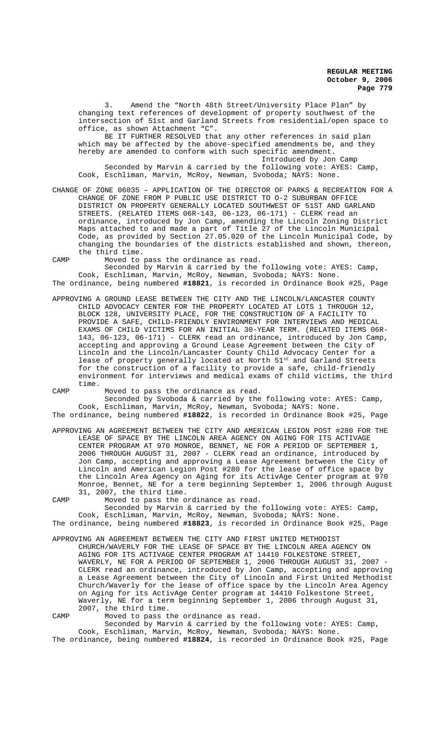3. Amend the "North 48th Street/University Place Plan" by changing text references of development of property southwest of the intersection of 51st and Garland Streets from residential/open space to office, as shown Attachment "C".

BE IT FURTHER RESOLVED that any other references in said plan which may be affected by the above-specified amendments be, and they hereby are amended to conform with such specific amendment. Introduced by Jon Camp Seconded by Marvin & carried by the following vote: AYES: Camp, Cook, Eschliman, Marvin, McRoy, Newman, Svoboda; NAYS: None.

- CHANGE OF ZONE 06035 APPLICATION OF THE DIRECTOR OF PARKS & RECREATION FOR A CHANGE OF ZONE FROM P PUBLIC USE DISTRICT TO O-2 SUBURBAN OFFICE DISTRICT ON PROPERTY GENERALLY LOCATED SOUTHWEST OF 51ST AND GARLAND STREETS. (RELATED ITEMS 06R-143, 06-123, 06-171) - CLERK read an ordinance, introduced by Jon Camp, amending the Lincoln Zoning District Maps attached to and made a part of Title 27 of the Lincoln Municipal Code, as provided by Section 27.05.020 of the Lincoln Municipal Code, by changing the boundaries of the districts established and shown, thereon, the third time.
- CAMP Moved to pass the ordinance as read.

Seconded by Marvin & carried by the following vote: AYES: Camp, Cook, Eschliman, Marvin, McRoy, Newman, Svoboda; NAYS: None. The ordinance, being numbered **#18821**, is recorded in Ordinance Book #25, Page

- APPROVING A GROUND LEASE BETWEEN THE CITY AND THE LINCOLN/LANCASTER COUNTY CHILD ADVOCACY CENTER FOR THE PROPERTY LOCATED AT LOTS 1 THROUGH 12, BLOCK 128, UNIVERSITY PLACE, FOR THE CONSTRUCTION OF A FACILITY TO PROVIDE A SAFE, CHILD-FRIENDLY ENVIRONMENT FOR INTERVIEWS AND MEDICAL EXAMS OF CHILD VICTIMS FOR AN INITIAL 30-YEAR TERM. (RELATED ITEMS 06R-143, 06-123, 06-171) - CLERK read an ordinance, introduced by Jon Camp, accepting and approving a Ground Lease Agreement between the City of Lincoln and the Lincoln/Lancaster County Child Advocacy Center for a lease of property generally located at North 51<sup>st</sup> and Garland Streets for the construction of a facility to provide a safe, child-friendly environment for interviews and medical exams of child victims, the third time.
- CAMP Moved to pass the ordinance as read.

Seconded by Svoboda & carried by the following vote: AYES: Camp, Cook, Eschliman, Marvin, McRoy, Newman, Svoboda; NAYS: None. The ordinance, being numbered **#18822**, is recorded in Ordinance Book #25, Page

APPROVING AN AGREEMENT BETWEEN THE CITY AND AMERICAN LEGION POST #280 FOR THE LEASE OF SPACE BY THE LINCOLN AREA AGENCY ON AGING FOR ITS ACTIVAGE CENTER PROGRAM AT 970 MONROE, BENNET, NE FOR A PERIOD OF SEPTEMBER 1, 2006 THROUGH AUGUST 31, 2007 - CLERK read an ordinance, introduced by Jon Camp, accepting and approving a Lease Agreement between the City of Lincoln and American Legion Post #280 for the lease of office space by the Lincoln Area Agency on Aging for its ActivAge Center program at 970 Monroe, Bennet, NE for a term beginning September 1, 2006 through August 31, 2007, the third time.

CAMP Moved to pass the ordinance as read. Seconded by Marvin & carried by the following vote: AYES: Camp, Cook, Eschliman, Marvin, McRoy, Newman, Svoboda; NAYS: None.

The ordinance, being numbered **#18823**, is recorded in Ordinance Book #25, Page APPROVING AN AGREEMENT BETWEEN THE CITY AND FIRST UNITED METHODIST CHURCH/WAVERLY FOR THE LEASE OF SPACE BY THE LINCOLN AREA AGENCY ON AGING FOR ITS ACTIVAGE CENTER PROGRAM AT 14410 FOLKESTONE STREET,

WAVERLY, NE FOR A PERIOD OF SEPTEMBER 1, 2006 THROUGH AUGUST 31, 2007 - CLERK read an ordinance, introduced by Jon Camp, accepting and approving a Lease Agreement between the City of Lincoln and First United Methodist Church/Waverly for the lease of office space by the Lincoln Area Agency on Aging for its ActivAge Center program at 14410 Folkestone Street, Waverly, NE for a term beginning September 1, 2006 through August 31, 2007, the third time.

CAMP Moved to pass the ordinance as read. Seconded by Marvin & carried by the following vote: AYES: Camp, Cook, Eschliman, Marvin, McRoy, Newman, Svoboda; NAYS: None.

The ordinance, being numbered **#18824**, is recorded in Ordinance Book #25, Page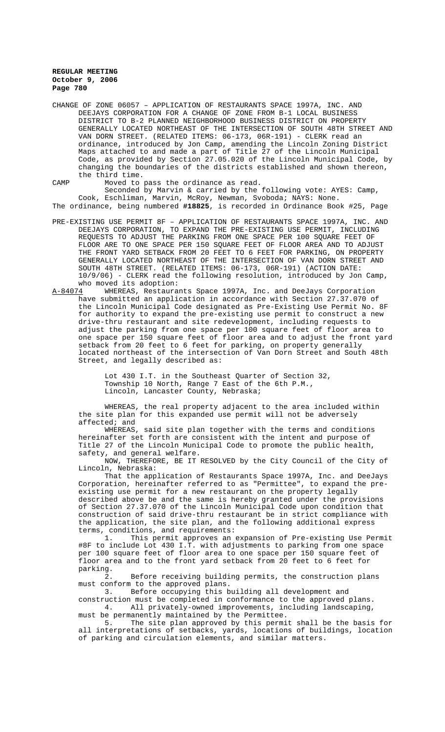CHANGE OF ZONE 06057 – APPLICATION OF RESTAURANTS SPACE 1997A, INC. AND DEEJAYS CORPORATION FOR A CHANGE OF ZONE FROM B-1 LOCAL BUSINESS DISTRICT TO B-2 PLANNED NEIGHBORHOOD BUSINESS DISTRICT ON PROPERTY GENERALLY LOCATED NORTHEAST OF THE INTERSECTION OF SOUTH 48TH STREET AND VAN DORN STREET. (RELATED ITEMS: 06-173, 06R-191) - CLERK read an ordinance, introduced by Jon Camp, amending the Lincoln Zoning District Maps attached to and made a part of Title 27 of the Lincoln Municipal Code, as provided by Section 27.05.020 of the Lincoln Municipal Code, by changing the boundaries of the districts established and shown thereon, the third time.

CAMP Moved to pass the ordinance as read. Seconded by Marvin & carried by the following vote: AYES: Camp, Cook, Eschliman, Marvin, McRoy, Newman, Svoboda; NAYS: None. The ordinance, being numbered **#18825**, is recorded in Ordinance Book #25, Page

- PRE-EXISTING USE PERMIT 8F APPLICATION OF RESTAURANTS SPACE 1997A, INC. AND DEEJAYS CORPORATION, TO EXPAND THE PRE-EXISTING USE PERMIT, INCLUDING REQUESTS TO ADJUST THE PARKING FROM ONE SPACE PER 100 SQUARE FEET OF FLOOR ARE TO ONE SPACE PER 150 SQUARE FEET OF FLOOR AREA AND TO ADJUST THE FRONT YARD SETBACK FROM 20 FEET TO 6 FEET FOR PARKING, ON PROPERTY GENERALLY LOCATED NORTHEAST OF THE INTERSECTION OF VAN DORN STREET AND SOUTH 48TH STREET. (RELATED ITEMS: 06-173, 06R-191) (ACTION DATE: 10/9/06) - CLERK read the following resolution, introduced by Jon Camp,
- who moved its adoption:<br>A-84074 WHEREAS, Restaura WHEREAS, Restaurants Space 1997A, Inc. and DeeJays Corporation have submitted an application in accordance with Section 27.37.070 of the Lincoln Municipal Code designated as Pre-Existing Use Permit No. 8F for authority to expand the pre-existing use permit to construct a new drive-thru restaurant and site redevelopment, including requests to adjust the parking from one space per 100 square feet of floor area to one space per 150 square feet of floor area and to adjust the front yard setback from 20 feet to 6 feet for parking, on property generally located northeast of the intersection of Van Dorn Street and South 48th Street, and legally described as:

Lot 430 I.T. in the Southeast Quarter of Section 32, Township 10 North, Range 7 East of the 6th P.M., Lincoln, Lancaster County, Nebraska;

WHEREAS, the real property adjacent to the area included within the site plan for this expanded use permit will not be adversely affected; and

WHEREAS, said site plan together with the terms and conditions hereinafter set forth are consistent with the intent and purpose of Title 27 of the Lincoln Municipal Code to promote the public health, safety, and general welfare.

NOW, THEREFORE, BE IT RESOLVED by the City Council of the City of Lincoln, Nebraska:

That the application of Restaurants Space 1997A, Inc. and DeeJays Corporation, hereinafter referred to as "Permittee", to expand the preexisting use permit for a new restaurant on the property legally described above be and the same is hereby granted under the provisions of Section 27.37.070 of the Lincoln Municipal Code upon condition that construction of said drive-thru restaurant be in strict compliance with the application, the site plan, and the following additional express terms, conditions, and requirements:<br>1. This permit approves an

This permit approves an expansion of Pre-existing Use Permit #8F to include Lot 430 I.T. with adjustments to parking from one space per 100 square feet of floor area to one space per 150 square feet of floor area and to the front yard setback from 20 feet to 6 feet for parking.

2. Before receiving building permits, the construction plans must conform to the approved plans.<br>3. Before occupying this b

Before occupying this building all development and

construction must be completed in conformance to the approved plans. 4. All privately-owned improvements, including landscaping, must be permanently maintained by the Permittee.

5. The site plan approved by this permit shall be the basis for all interpretations of setbacks, yards, locations of buildings, location of parking and circulation elements, and similar matters.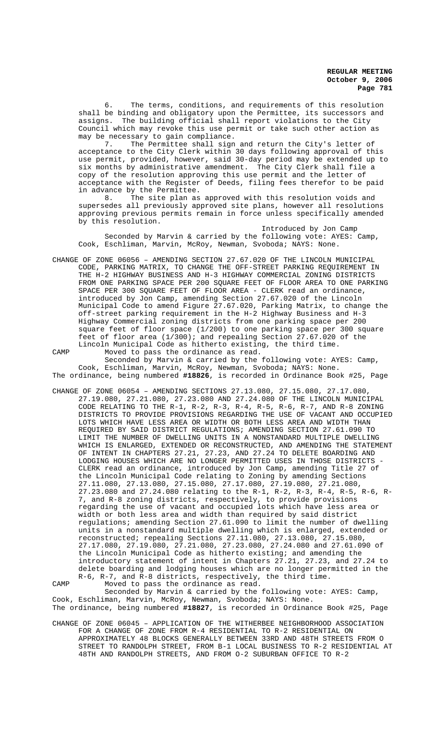6. The terms, conditions, and requirements of this resolution shall be binding and obligatory upon the Permittee, its successors and assigns. The building official shall report violations to the City Council which may revoke this use permit or take such other action as may be necessary to gain compliance.<br>7. The Permittee shall sign

The Permittee shall sign and return the City's letter of acceptance to the City Clerk within 30 days following approval of this use permit, provided, however, said 30-day period may be extended up to six months by administrative amendment. The City Clerk shall file a copy of the resolution approving this use permit and the letter of acceptance with the Register of Deeds, filing fees therefor to be paid in advance by the Permittee.

8. The site plan as approved with this resolution voids and supersedes all previously approved site plans, however all resolutions approving previous permits remain in force unless specifically amended by this resolution.

Introduced by Jon Camp Seconded by Marvin & carried by the following vote: AYES: Camp, Cook, Eschliman, Marvin, McRoy, Newman, Svoboda; NAYS: None.

CHANGE OF ZONE 06056 – AMENDING SECTION 27.67.020 OF THE LINCOLN MUNICIPAL CODE, PARKING MATRIX, TO CHANGE THE OFF-STREET PARKING REQUIREMENT IN THE H-2 HIGHWAY BUSINESS AND H-3 HIGHWAY COMMERCIAL ZONING DISTRICTS FROM ONE PARKING SPACE PER 200 SQUARE FEET OF FLOOR AREA TO ONE PARKING SPACE PER 300 SQUARE FEET OF FLOOR AREA - CLERK read an ordinance, introduced by Jon Camp, amending Section 27.67.020 of the Lincoln Municipal Code to amend Figure 27.67.020, Parking Matrix, to change the off-street parking requirement in the H-2 Highway Business and H-3 Highway Commercial zoning districts from one parking space per 200 square feet of floor space (1/200) to one parking space per 300 square feet of floor area (1/300); and repealing Section 27.67.020 of the Lincoln Municipal Code as hitherto existing, the third time.

CAMP Moved to pass the ordinance as read. Seconded by Marvin & carried by the following vote: AYES: Camp, Cook, Eschliman, Marvin, McRoy, Newman, Svoboda; NAYS: None. The ordinance, being numbered **#18826**, is recorded in Ordinance Book #25, Page

CHANGE OF ZONE 06054 – AMENDING SECTIONS 27.13.080, 27.15.080, 27.17.080, 27.19.080, 27.21.080, 27.23.080 AND 27.24.080 OF THE LINCOLN MUNICIPAL CODE RELATING TO THE R-1, R-2, R-3, R-4, R-5, R-6, R-7, AND R-8 ZONING DISTRICTS TO PROVIDE PROVISIONS REGARDING THE USE OF VACANT AND OCCUPIED LOTS WHICH HAVE LESS AREA OR WIDTH OR BOTH LESS AREA AND WIDTH THAN REQUIRED BY SAID DISTRICT REGULATIONS; AMENDING SECTION 27.61.090 TO LIMIT THE NUMBER OF DWELLING UNITS IN A NONSTANDARD MULTIPLE DWELLING WHICH IS ENLARGED, EXTENDED OR RECONSTRUCTED, AND AMENDING THE STATEMENT OF INTENT IN CHAPTERS 27.21, 27.23, AND 27.24 TO DELETE BOARDING AND LODGING HOUSES WHICH ARE NO LONGER PERMITTED USES IN THOSE DISTRICTS - CLERK read an ordinance, introduced by Jon Camp, amending Title 27 of the Lincoln Municipal Code relating to Zoning by amending Sections 27.11.080, 27.13.080, 27.15.080, 27.17.080, 27.19.080, 27.21.080, 27.23.080 and 27.24.080 relating to the R-1, R-2, R-3, R-4, R-5, R-6, R-7, and R-8 zoning districts, respectively, to provide provisions regarding the use of vacant and occupied lots which have less area or width or both less area and width than required by said district regulations; amending Section 27.61.090 to limit the number of dwelling units in a nonstandard multiple dwelling which is enlarged, extended or reconstructed; repealing Sections 27.11.080, 27.13.080, 27.15.080, 27.17.080, 27.19.080, 27.21.080, 27.23.080, 27.24.080 and 27.61.090 of the Lincoln Municipal Code as hitherto existing; and amending the introductory statement of intent in Chapters 27.21, 27.23, and 27.24 to delete boarding and lodging houses which are no longer permitted in the R-6, R-7, and R-8 districts, respectively, the third time. CAMP Moved to pass the ordinance as read.

Seconded by Marvin & carried by the following vote: AYES: Camp, Cook, Eschliman, Marvin, McRoy, Newman, Svoboda; NAYS: None. The ordinance, being numbered **#18827**, is recorded in Ordinance Book #25, Page

CHANGE OF ZONE 06045 – APPLICATION OF THE WITHERBEE NEIGHBORHOOD ASSOCIATION FOR A CHANGE OF ZONE FROM R-4 RESIDENTIAL TO R-2 RESIDENTIAL ON APPROXIMATELY 48 BLOCKS GENERALLY BETWEEN 33RD AND 48TH STREETS FROM O STREET TO RANDOLPH STREET, FROM B-1 LOCAL BUSINESS TO R-2 RESIDENTIAL AT 48TH AND RANDOLPH STREETS, AND FROM O-2 SUBURBAN OFFICE TO R-2